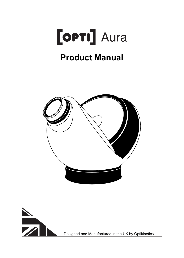

# **Product Manual**



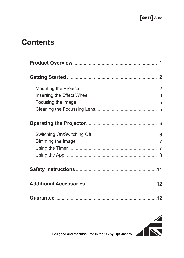## **Contents**

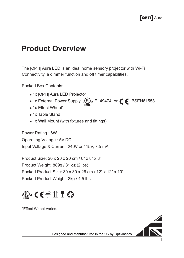### **Product Overview**

The [OPTI] Aura LED is an ideal home sensory projector with Wi-Fi Connectivity, a dimmer function and off timer capabilities.

Packed Box Contents:

- 1x [OPTI] Aura LED Projector
- 1x External Power Supply  $\binom{10}{100}$  E149474 or  $\binom{2}{5}$  BSEN61558
- 1x Effect Wheel\*
- 1x Table Stand
- 1x Wall Mount (with fixtures and fittings)

Power Rating : 6W Operating Voltage : 5V DC Input Voltage & Current: 240V or 115V, 7.5 mA

Product Size: 20 x 20 x 20 cm / 8" x 8" x 8" Product Weight: 889g / 31 oz (2 lbs) Packed Product Size: 30 x 30 x 26 cm / 12" x 12" x 10" Packed Product Weight: 2kg / 4.5 lbs

# 心" (∈ヂⅡⅠ☆

\*Effect Wheel Varies.

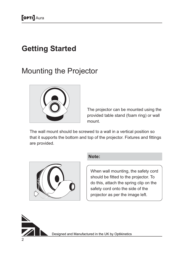## **Getting Started**

### Mounting the Projector



The projector can be mounted using the provided table stand (foam ring) or wall mount.

The wall mount should be screwed to a wall in a vertical position so that it supports the bottom and top of the projector. Fixtures and fittings are provided.



#### **Note:**

When wall mounting, the safety cord should be fitted to the projector. To do this, attach the spring clip on the safety cord onto the side of the projector as per the image left.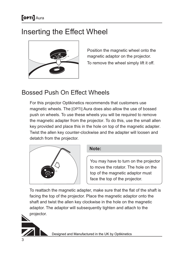## Inserting the Effect Wheel



Position the magnetic wheel onto the magnetic adaptor on the projector. To remove the wheel simply lift it off.

### Bossed Push On Effect Wheels

For this projector Optikinetics recommends that customers use magnetic wheels. The [OPTI] Aura does also allow the use of bossed push on wheels. To use these wheels you will be required to remove the magnetic adapter from the projector. To do this, use the small allen key provided and place this in the hole on top of the magnetic adapter. Twist the allen key counter-clockwise and the adapter will loosen and detatch from the projector.



#### **Note:**

You may have to turn on the projector to move the rotator. The hole on the top of the magnetic adaptor must face the top of the projector.

To reattach the magnetic adapter, make sure that the flat of the shaft is facing the top of the projector. Place the magnetic adaptor onto the shaft and twist the allen key clockwise in the hole on the magnetic adaptor. The adaptor will subsequently tighten and attach to the projector.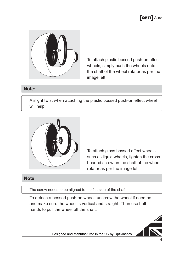

To attach plastic bossed push-on effect wheels, simply push the wheels onto the shaft of the wheel rotator as per the image left.

**Note:**

A slight twist when attaching the plastic bossed push-on effect wheel will help.



To attach glass bossed effect wheels such as liquid wheels, tighten the cross headed screw on the shaft of the wheel rotator as per the image left.

#### **Note:**

The screw needs to be aligned to the flat side of the shaft.

To detach a bossed push-on wheel, unscrew the wheel if need be and make sure the wheel is vertical and straight. Then use both hands to pull the wheel off the shaft.

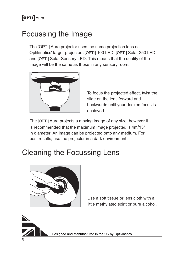## Focussing the Image

The [OPTI] Aura projector uses the same projection lens as Optikinetics' larger projectors [OPTI] 100 LED, [OPTI] Solar 250 LED and [OPTI] Solar Sensory LED. This means that the quality of the image will be the same as those in any sensory room.



To focus the projected effect, twist the slide on the lens forward and backwards until your desired focus is achieved.

The [OPTI] Aura projects a moving image of any size, however it is recommended that the maximum image projected is 4m/13" in diameter. An image can be projected onto any medium. For best results, use the projector in a dark environment.

## Cleaning the Focussing Lens



Use a soft tissue or lens cloth with a little methylated spirit or pure alcohol.

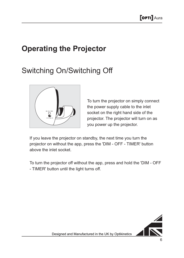## **Operating the Projector**

### Switching On/Switching Off



To turn the projector on simply connect the power supply cable to the inlet socket on the right hand side of the projector. The projector will turn on as you power up the projector.

If you leave the projector on standby, the next time you turn the projector on without the app, press the 'DIM - OFF - TIMER' button above the inlet socket.

To turn the projector off without the app, press and hold the 'DIM - OFF - TIMER' button until the light turns off.

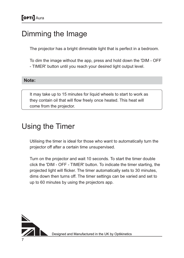## Dimming the Image

The projector has a bright dimmable light that is perfect in a bedroom.

To dim the image without the app, press and hold down the 'DIM - OFF - TIMER' button until you reach your desired light output level.

**Note:**

It may take up to 15 minutes for liquid wheels to start to work as they contain oil that will flow freely once heated. This heat will come from the projector.

## Using the Timer

Utilising the timer is ideal for those who want to automatically turn the projector off after a certain time unsupervised.

Turn on the projector and wait 10 seconds. To start the timer double click the 'DIM - OFF - TIMER' button. To indicate the timer starting, the projected light will flicker. The timer automatically sets to 30 minutes, dims down then turns off. The timer settings can be varied and set to up to 60 minutes by using the projectors app.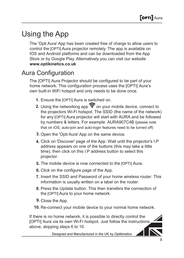## Using the App

The 'Opti Aura' App has been created free of charge to allow users to control the [OPTI] Aura projector remotely. The app is available on IOS and Android platforms and can be downloaded from the App Store or by Google Play. Alternatively you can visit our website **www.optikinetics.co.uk**

### **Aura Configuration**

The [OPTI] Aura Projector should be configured to be part of your home network. This configuration process uses the [OPTI] Aura's own built-in WiFi hotspot and only needs to be done once.

- **1.** Ensure the [OPTI] Aura is switched on.
- 2. Using the networking app <sup>•</sup> on your mobile device, connect to the projectors Wi-Fi hotspot. The SSID (the name of the network) for any [OPTI] Aura projector will start with AURA and be followed by numbers & letters. For example: AURA907C4B (please note that on iOS, auto-join and auto-login features need to be turned off)
- **3.** Open the 'Opti Aura' App on the same device.
- **4.** Click on 'Discover' page of the App. Wait until the projector's I.P address appears on one of the buttons (this may take a little time), then click on this I.P address button to select this projector.
- **5.** The mobile device is now connected to the [OPTI] Aura.
- **6.** Click on the configure page of the App.
- **7.** Insert the SSID and Password of your home wireless router. This information is usually written on a label on the router.
- 8. Press the Update button. This then transfers the connection of the [OPTI] Aura to your home network.
- Close the App. **9.**
- 10. Re-connect your mobile device to your normal home network.

If there is no home network, it is possible to directly control the [OPTI] Aura via its own Wi-Fi hotspot. Just follow the instructions above, skipping steps 6 to 10.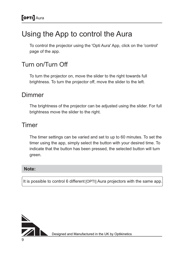## Using the App to control the Aura

To control the projector using the 'Opti Aura' App, click on the 'control' page of the app.

### Turn on/Turn Off

To turn the projector on, move the slider to the right towards full brightness. To turn the projector off, move the slider to the left.

### Dimmer

The brightness of the projector can be adjusted using the slider. For full brightness move the slider to the right.

### Timer

The timer settings can be varied and set to up to 60 minutes. To set the timer using the app, simply select the button with your desired time. To indicate that the button has been pressed, the selected button will turn green.

#### **Note:**

It is possible to control 6 different [OPTI] Aura projectors with the same app

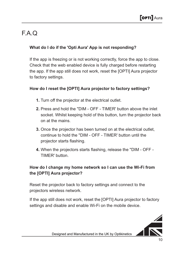### F.A.Q

### **What do I do if the 'Opti Aura' App is not responding?**

If the app is freezing or is not working correctly, force the app to close. Check that the web enabled device is fully charged before restarting the app. If the app still does not work, reset the [OPTI] Aura projector to factory settings.

#### **How do I reset the [OPTI] Aura projector to factory settings?**

- **1.** Turn off the projector at the electrical outlet.
- **2.** Press and hold the "DIM OFF TIMER' button above the inlet socket. Whilst keeping hold of this button, turn the projector back on at the mains.
- **3.** Once the projector has been turned on at the electrical outlet, continue to hold the ''DIM - OFF - TIMER' button until the projector starts flashing.
- 4. When the projectors starts flashing, release the "DIM OFF -TIMER' button.

### **How do I change my home network so I can use the Wi-Fi from the [OPTI] Aura projector?**

Reset the projector back to factory settings and connect to the projectors wireless network.

If the app still does not work, reset the [OPTI] Aura projector to factory settings and disable and enable Wi-Fi on the mobile device.

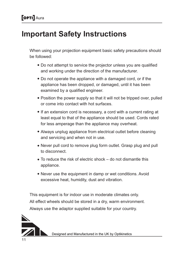### **Important Safety Instructions**

When using your projection equipment basic safety precautions should be followed:

- $\bullet$  Do not attempt to service the projector unless you are qualified and working under the direction of the manufacturer.
- Do not operate the appliance with a damaged cord, or if the appliance has been dropped, or damaged, until it has been examined by a qualified engineer.
- Position the power supply so that it will not be tripped over, pulled or come into contact with hot surfaces.
- If an extension cord is necessary, a cord with a current rating at least equal to that of the appliance should be used. Cords rated for less amperage than the appliance may overheat.
- Always unplug appliance from electrical outlet before cleaning and servicing and when not in use.
- Never pull cord to remove plug form outlet. Grasp plug and pull to disconnect.
- To reduce the risk of electric shock do not dismantle this appliance.
- Never use the equipment in damp or wet conditions. Avoid excessive heat, humidity, dust and vibration.

This equipment is for indoor use in moderate climates only. All effect wheels should be stored in a dry, warm environment. Always use the adaptor supplied suitable for your country.

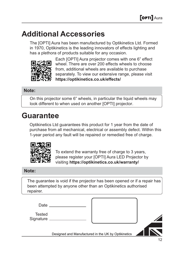### **Additional Accessories**

The [OPTI] Aura has been manufactured by Optikinetics Ltd. Formed in 1970, Optikinetics is the leading innovators of effects lighting and has a plethora of products suitable for any occasion.



Each [OPTI] Aura projector comes with one 6" effect wheel. There are over 200 effects wheels to choose from, additional wheels are available to purchase separately. To view our extensive range, please visit **https://optikinetics.co.uk/effects/**

#### **Note:**

On this projector some 6" wheels, in particular the liquid wheels may look different to when used on another [OPTI] projector.

### **Guarantee**

Optikinetics Ltd guarantees this product for 1 year from the date of purchase from all mechanical, electrical or assembly defect. Within this 1-year period any fault will be repaired or remedied free of charge.



To extend the warranty free of charge to 3 years, please register your [OPTI] Aura LED Projector by visiting **https://optikinetics.co.uk/warranty/**

#### **Note:**

The guarantee is void if the projector has been opened or if a repair has been attempted by anyone other than an Optikinetics authorised repairer.

| –יורגו ו |  |
|----------|--|
| $\sim$   |  |

**Tested** Signature